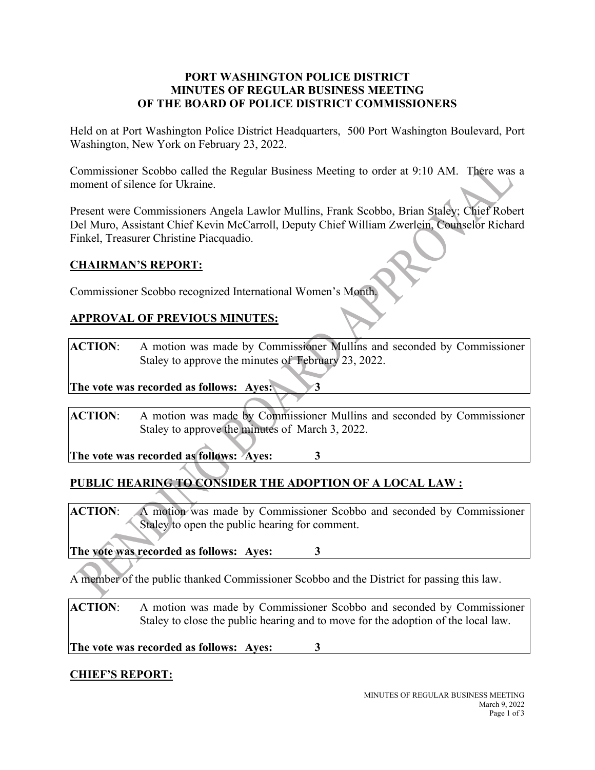### **PORT WASHINGTON POLICE DISTRICT MINUTES OF REGULAR BUSINESS MEETING OF THE BOARD OF POLICE DISTRICT COMMISSIONERS**

Held on at Port Washington Police District Headquarters, 500 Port Washington Boulevard, Port Washington, New York on February 23, 2022.

Commissioner Scobbo called the Regular Business Meeting to order at 9:10 AM. There was a moment of silence for Ukraine.

Present were Commissioners Angela Lawlor Mullins, Frank Scobbo, Brian Staley; Chief Robert Del Muro, Assistant Chief Kevin McCarroll, Deputy Chief William Zwerlein, Counselor Richard Finkel, Treasurer Christine Piacquadio.

# **CHAIRMAN'S REPORT:**

Commissioner Scobbo recognized International Women's Month.

# **APPROVAL OF PREVIOUS MINUTES:**

**ACTION**: A motion was made by Commissioner Mullins and seconded by Commissioner Staley to approve the minutes of February 23, 2022.

**The vote was recorded as follows: Ayes: 3** 

**ACTION**: A motion was made by Commissioner Mullins and seconded by Commissioner Staley to approve the minutes of March 3, 2022.

**The vote was recorded as follows: Ayes: 3**

# **PUBLIC HEARING TO CONSIDER THE ADOPTION OF A LOCAL LAW :**

**ACTION**: A motion was made by Commissioner Scobbo and seconded by Commissioner Staley to open the public hearing for comment.

**The vote was recorded as follows: Ayes: 3**

A member of the public thanked Commissioner Scobbo and the District for passing this law.

**ACTION**: A motion was made by Commissioner Scobbo and seconded by Commissioner Staley to close the public hearing and to move for the adoption of the local law.

**The vote was recorded as follows: Ayes: 3**

# **CHIEF'S REPORT:**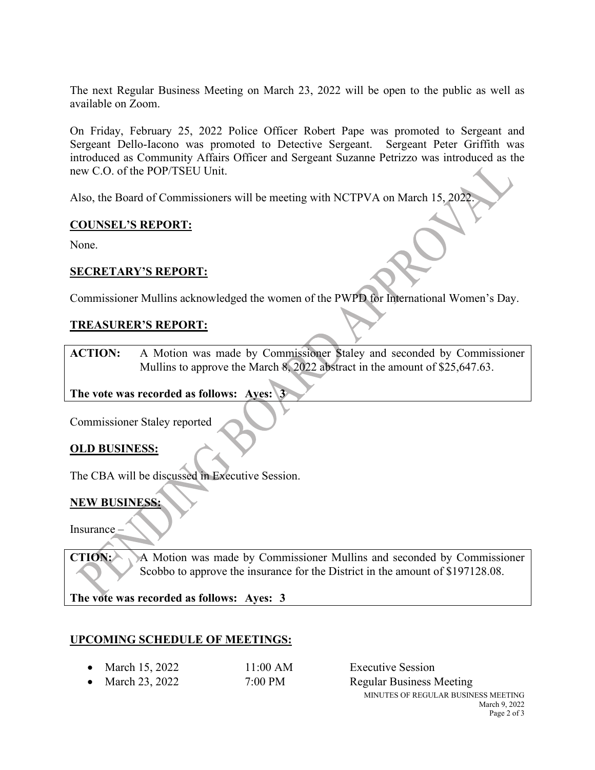The next Regular Business Meeting on March 23, 2022 will be open to the public as well as available on Zoom.

On Friday, February 25, 2022 Police Officer Robert Pape was promoted to Sergeant and Sergeant Dello-Iacono was promoted to Detective Sergeant. Sergeant Peter Griffith was introduced as Community Affairs Officer and Sergeant Suzanne Petrizzo was introduced as the new C.O. of the POP/TSEU Unit.

Also, the Board of Commissioners will be meeting with NCTPVA on March 15, 2022.

#### **COUNSEL'S REPORT:**

None.

### **SECRETARY'S REPORT:**

Commissioner Mullins acknowledged the women of the PWPD for International Women's Day.

### **TREASURER'S REPORT:**

**ACTION:** A Motion was made by Commissioner Staley and seconded by Commissioner Mullins to approve the March 8, 2022 abstract in the amount of \$25,647.63.

#### **The vote was recorded as follows: Ayes: 3**

Commissioner Staley reported

# **OLD BUSINESS:**

The CBA will be discussed in Executive Session.

#### **NEW BUSINESS:**

Insurance –

**CTION:** A Motion was made by Commissioner Mullins and seconded by Commissioner Scobbo to approve the insurance for the District in the amount of \$197128.08.

**The vote was recorded as follows: Ayes: 3**

# **UPCOMING SCHEDULE OF MEETINGS:**

• March 15, 2022 11:00 AM Executive Session • March 23, 2022 7:00 PM Regular Business Meeting